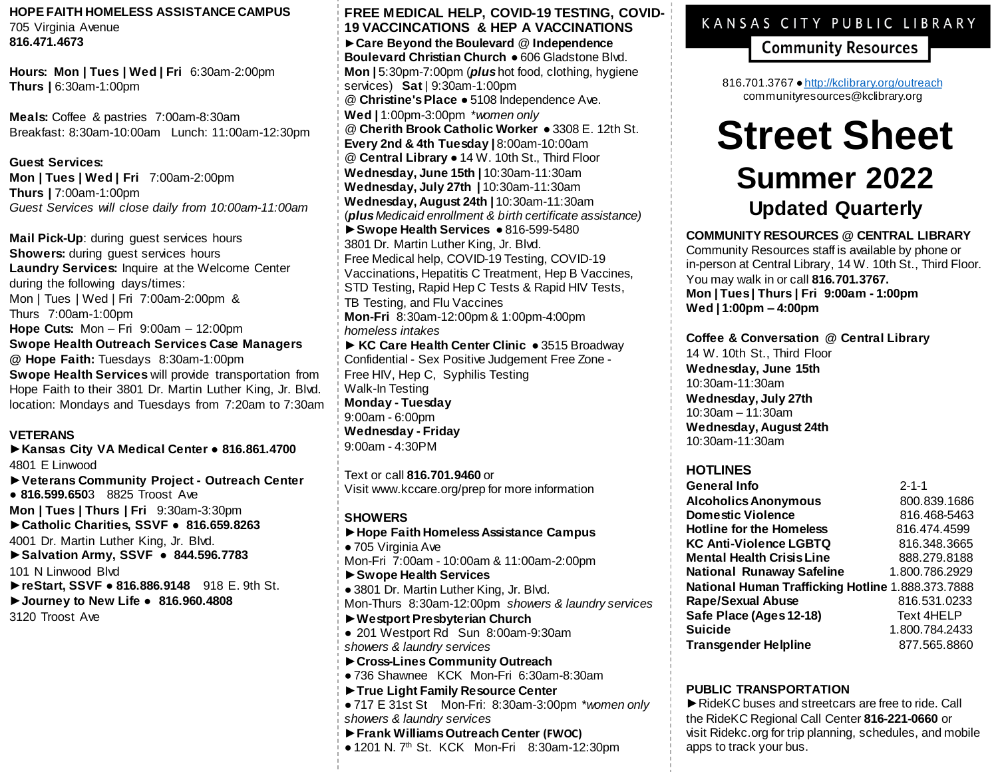## **HOPE FAITH HOMELESS ASSISTANCE CAMPUS** 705 Virginia Avenue

**816.471.4673**

**Hours: Mon | Tues | Wed | Fri** 6:30am-2:00pm **Thurs |** 6:30am-1:00pm

**Meals:** Coffee & pastries 7:00am-8:30am Breakfast: 8:30am-10:00am Lunch: 11:00am-12:30pm

**Guest Services: Mon | Tues | Wed | Fri** 7:00am-2:00pm **Thurs |** 7:00am-1:00pm *Guest Services will close daily from 10:00am-11:00am*

**Mail Pick-Up:** during guest services hours **Showers:** during guest services hours **Laundry Services:** Inquire at the Welcome Center during the following days/times: Mon | Tues | Wed | Fri 7:00am-2:00pm & Thurs 7:00am-1:00pm **Hope Cuts:** Mon – Fri 9:00am – 12:00pm **Swope Health Outreach Services Case Managers @ Hope Faith:** Tuesdays 8:30am-1:00pm **Swope Health Services** will provide transportation from Hope Faith to their 3801 Dr. Martin Luther King, Jr. Blvd. location: Mondays and Tuesdays from 7:20am to 7:30am

## **VETERANS**

*►***Kansas City VA Medical Center** ● **816.861.4700** 4801 E Linwood

- *►***Veterans Community Project - Outreach Center** ● **816.599.650**3 8825 Troost Ave
- 

**Mon | Tues | Thurs | Fri** 9:30am-3:30pm *►***Catholic Charities, SSVF** ● **816.659.8263**

4001 Dr. Martin Luther King, Jr. Blvd.

- *►***Salvation Army, SSVF 844.596.7783** 101 N Linwood Blvd
- *►***reStart, SSVF 816.886.9148** 918 E. 9th St.
- *►***Journey to New Life 816.960.4808**

3120 Troost Ave

**FREE MEDICAL HELP, COVID-19 TESTING, COVID-19 VACCINCATIONS & HEP A VACCINATIONS** *►***Care Beyond the Boulevard** *@* **Independence Boulevard Christian Church** ● 606 Gladstone Blvd. **Mon |** 5:30pm-7:00pm (*plus*hot food, clothing, hygiene services) **Sat** | 9:30am-1:00pm @ **Christine's Place** ● 5108 Independence Ave. **Wed |** 1:00pm-3:00pm \**women only @* **Cherith Brook Catholic Worker** ● 3308 E. 12th St. **Every 2nd & 4th Tuesday |** 8:00am-10:00am @ **Central Library** ● 14 W. 10th St., Third Floor **Wednesday, June 15th |** 10:30am-11:30am **Wednesday, July 27th |** 10:30am-11:30am **Wednesday, August 24th |** 10:30am-11:30am (*plus Medicaid enrollment & birth certificate assistance) ►***Swope Health Services** ● 816-599-5480 3801 Dr. Martin Luther King, Jr. Blvd. Free Medical help, COVID-19 Testing, COVID-19 Vaccinations, Hepatitis C Treatment, Hep B Vaccines, STD Testing, Rapid Hep C Tests & Rapid HIV Tests, TB Testing, and Flu Vaccines **Mon-Fri** 8:30am-12:00pm & 1:00pm-4:00pm *homeless intakes ►* **KC Care Health Center Clinic** ● 3515 Broadway Confidential - Sex Positive Judgement Free Zone - Free HIV, Hep C, Syphilis Testing Walk-In Testing **Monday - Tuesday**

9:00am - 6:00pm **Wednesday - Friday** 9:00am - 4:30PM

Text or call **816.701.9460** or Visit www.kccare.org/prep for more information

## **SHOWERS**

- *►***Hope Faith Homeless Assistance Campus** ● 705 Virginia Ave Mon-Fri 7:00am - 10:00am & 11:00am-2:00pm
- **►Swope Health Services**
- 3801 Dr. Martin Luther King, Jr. Blvd. Mon-Thurs 8:30am-12:00pm *showers & laundry services*
- *►***Westport Presbyterian Church**
- 201 Westport Rd Sun 8:00am-9:30am *showers & laundry services*
- *►***Cross-Lines Community Outreach**
- 736 Shawnee KCK Mon-Fri 6:30am-8:30am
- **►True Light Family Resource Center**
- 717 E 31st St Mon-Fri: 8:30am-3:00pm \**women only showers & laundry services*
- *►***Frank Williams Outreach Center (FWOC)**
- 1201 N. 7<sup>th</sup> St. KCK Mon-Fri 8:30am-12:30pm

## KANSAS CITY PUBLIC LIBRARY

**Community Resources** 

816.701.3767 • <http://kclibrary.org/outreach> communityresources@kclibrary.org

# **Street Sheet Summer 2022 Updated Quarterly**

**COMMUNITY RESOURCES @ CENTRAL LIBRARY** Community Resources staff is available by phone or in-person at Central Library, 14 W. 10th St., Third Floor. You may walk in or call **816.701.3767. Mon | Tues | Thurs | Fri 9:00am - 1:00pm Wed | 1:00pm – 4:00pm**

## **Coffee & Conversation @ Central Library**

14 W. 10th St., Third Floor **Wednesday, June 15th** 10:30am-11:30am **Wednesday, July 27th** 10:30am – 11:30am **Wednesday, August 24th** 10:30am-11:30am

## **HOTLINES**

| <b>General Info</b>                               | $2 - 1 - 1$       |
|---------------------------------------------------|-------------------|
| <b>Alcoholics Anonymous</b>                       | 800.839.1686      |
| <b>Domestic Violence</b>                          | 816.468-5463      |
| <b>Hotline for the Homeless</b>                   | 816.474.4599      |
| <b>KC Anti-Violence LGBTQ</b>                     | 816.348.3665      |
| <b>Mental Health Crisis Line</b>                  | 888.279.8188      |
| <b>National Runaway Safeline</b>                  | 1.800.786.2929    |
| National Human Trafficking Hotline 1.888.373.7888 |                   |
| <b>Rape/Sexual Abuse</b>                          | 816.531.0233      |
| Safe Place (Ages 12-18)                           | <b>Text 4HELP</b> |
| <b>Suicide</b>                                    | 1.800.784.2433    |
| <b>Transgender Helpline</b>                       | 877.565.8860      |

## **PUBLIC TRANSPORTATION**

*►*RideKC buses and streetcars are free to ride. Call the RideKC Regional Call Center **816-221-0660** or visit Ridekc.org for trip planning, schedules, and mobile apps to track your bus.